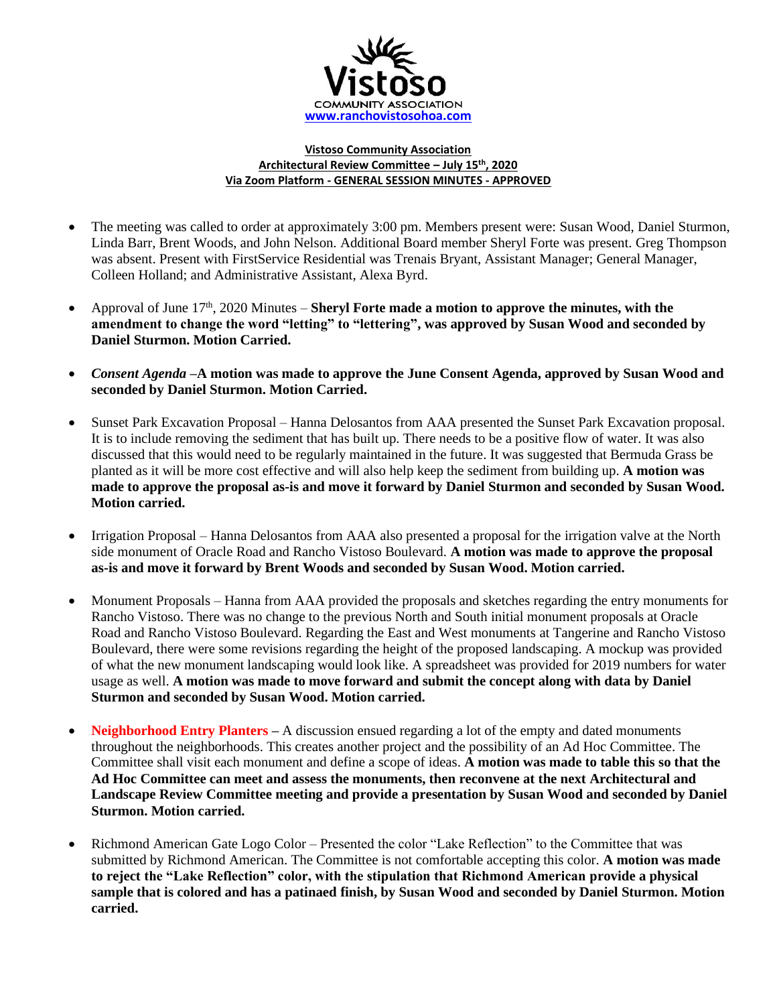

## **Vistoso Community Association Architectural Review Committee – July 15th , 2020 Via Zoom Platform - GENERAL SESSION MINUTES - APPROVED**

- The meeting was called to order at approximately 3:00 pm. Members present were: Susan Wood, Daniel Sturmon, Linda Barr, Brent Woods, and John Nelson. Additional Board member Sheryl Forte was present. Greg Thompson was absent. Present with FirstService Residential was Trenais Bryant, Assistant Manager; General Manager, Colleen Holland; and Administrative Assistant, Alexa Byrd.
- Approval of June  $17<sup>th</sup>$ , 2020 Minutes **Sheryl Forte made a motion to approve the minutes, with the amendment to change the word "letting" to "lettering", was approved by Susan Wood and seconded by Daniel Sturmon. Motion Carried.**
- *Consent Agenda –***A motion was made to approve the June Consent Agenda, approved by Susan Wood and seconded by Daniel Sturmon. Motion Carried.**
- Sunset Park Excavation Proposal Hanna Delosantos from AAA presented the Sunset Park Excavation proposal. It is to include removing the sediment that has built up. There needs to be a positive flow of water. It was also discussed that this would need to be regularly maintained in the future. It was suggested that Bermuda Grass be planted as it will be more cost effective and will also help keep the sediment from building up. **A motion was made to approve the proposal as-is and move it forward by Daniel Sturmon and seconded by Susan Wood. Motion carried.**
- Irrigation Proposal Hanna Delosantos from AAA also presented a proposal for the irrigation valve at the North side monument of Oracle Road and Rancho Vistoso Boulevard. **A motion was made to approve the proposal as-is and move it forward by Brent Woods and seconded by Susan Wood. Motion carried.**
- Monument Proposals Hanna from AAA provided the proposals and sketches regarding the entry monuments for Rancho Vistoso. There was no change to the previous North and South initial monument proposals at Oracle Road and Rancho Vistoso Boulevard. Regarding the East and West monuments at Tangerine and Rancho Vistoso Boulevard, there were some revisions regarding the height of the proposed landscaping. A mockup was provided of what the new monument landscaping would look like. A spreadsheet was provided for 2019 numbers for water usage as well. **A motion was made to move forward and submit the concept along with data by Daniel Sturmon and seconded by Susan Wood. Motion carried.**
- **Neighborhood Entry Planters –** A discussion ensued regarding a lot of the empty and dated monuments throughout the neighborhoods. This creates another project and the possibility of an Ad Hoc Committee. The Committee shall visit each monument and define a scope of ideas. **A motion was made to table this so that the Ad Hoc Committee can meet and assess the monuments, then reconvene at the next Architectural and Landscape Review Committee meeting and provide a presentation by Susan Wood and seconded by Daniel Sturmon. Motion carried.**
- Richmond American Gate Logo Color Presented the color "Lake Reflection" to the Committee that was submitted by Richmond American. The Committee is not comfortable accepting this color. **A motion was made to reject the "Lake Reflection" color, with the stipulation that Richmond American provide a physical sample that is colored and has a patinaed finish, by Susan Wood and seconded by Daniel Sturmon. Motion carried.**